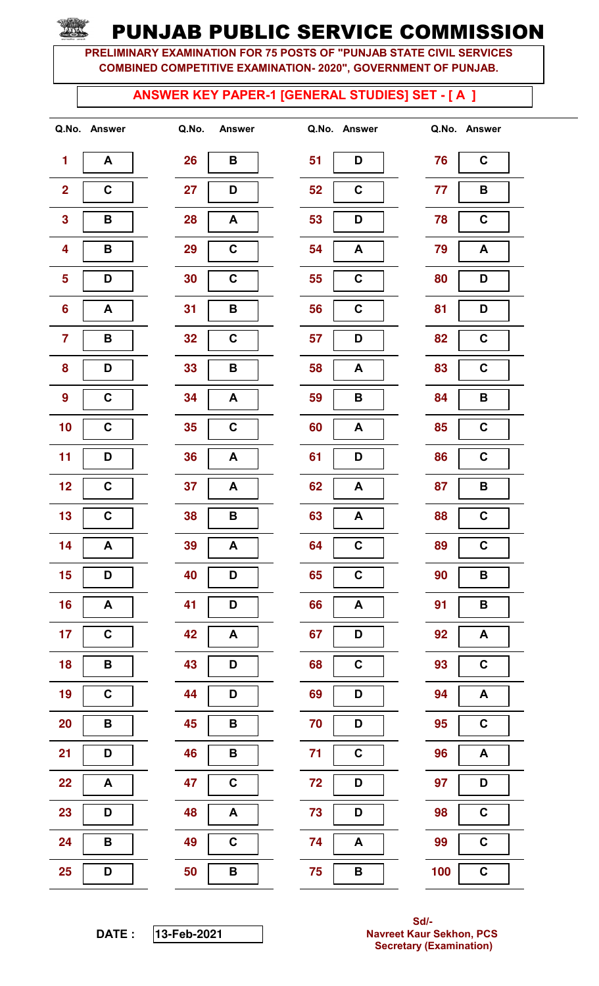PRELIMINARY EXAMINATION FOR 75 POSTS OF "PUNJAB STATE CIVIL SERVICES COMBINED COMPETITIVE EXAMINATION- 2020", GOVERNMENT OF PUNJAB.

#### ANSWER KEY PAPER-1 [GENERAL STUDIES] SET - [ A ]

| 1                       | Α                       |
|-------------------------|-------------------------|
| $\overline{\mathbf{c}}$ | $\overline{\mathbf{c}}$ |
| 3                       | B                       |
| 4                       | B                       |
| 5                       | D                       |
| 6                       | A                       |
| 7                       | B                       |
| 8                       | D                       |
| 9                       | C                       |
| 10                      | C                       |
| 11                      | D                       |
| 12                      | C                       |
| 13                      | C                       |
| 14                      | A                       |
| 15                      | I<br>D                  |
| 16                      | A                       |
| 17                      | C                       |
| 18                      | B                       |
| 19                      | C                       |
| 20                      | B                       |
| 21                      | D                       |
| 22                      | A                       |
| 23                      | D                       |
| 24                      | B                       |
| 25                      | D                       |

| Q.No. | <b>Answer</b>           |  |  |  |  |
|-------|-------------------------|--|--|--|--|
| 26    | B                       |  |  |  |  |
| 27    | D                       |  |  |  |  |
| 28    | A                       |  |  |  |  |
| 29    | C                       |  |  |  |  |
| 30    | C                       |  |  |  |  |
| 31    | В                       |  |  |  |  |
| 32    | C                       |  |  |  |  |
| 33    | B                       |  |  |  |  |
| 34    | A                       |  |  |  |  |
| 35    | $\overline{\mathbf{c}}$ |  |  |  |  |
| 36    | A                       |  |  |  |  |
| 37    | A                       |  |  |  |  |
| 38    | B                       |  |  |  |  |
| 39    | A                       |  |  |  |  |
| 40    | D                       |  |  |  |  |
| 41    | D                       |  |  |  |  |
| 42    | A                       |  |  |  |  |
| 43    | D                       |  |  |  |  |
| 44    | D                       |  |  |  |  |
| 45    | B                       |  |  |  |  |
| 46    | B                       |  |  |  |  |
| 47    | C                       |  |  |  |  |
| 48    | A                       |  |  |  |  |
| 49    | C                       |  |  |  |  |
| 50    | B                       |  |  |  |  |

|                         | Q.No. Answer     | Q.No.<br><b>Answer</b> |    | Q.No. Answer |     | Q.No. Answer              |
|-------------------------|------------------|------------------------|----|--------------|-----|---------------------------|
| $\blacksquare$          | A                | 26<br>В                | 51 | D            | 76  | $\mathbf C$               |
| $\overline{\mathbf{2}}$ | $\mathbf C$      | 27<br>D                | 52 | C            | 77  | B                         |
| $\overline{\mathbf{3}}$ | $\, {\bf B}$     | 28<br>A                | 53 | D            | 78  | $\mathbf C$               |
| $\overline{\mathbf{4}}$ | B                | $\mathbf C$<br>29      | 54 | A            | 79  | $\boldsymbol{\mathsf{A}}$ |
| $\overline{\mathbf{5}}$ | D                | $\mathbf C$<br>30      | 55 | C            | 80  | D                         |
| $6\phantom{a}$          | $\blacktriangle$ | 31<br>B                | 56 | C            | 81  | D                         |
| $\overline{7}$          | В                | 32<br>C                | 57 | D            | 82  | $\mathbf C$               |
| 8                       | D                | 33<br>B                | 58 | A            | 83  | $\mathbf C$               |
| 9                       | $\mathbf C$      | 34<br>A                | 59 | B            | 84  | B                         |
| 10                      | $\mathbf C$      | $\mathbf C$<br>35      | 60 | A            | 85  | $\mathbf C$               |
| 11                      | D                | 36<br>A                | 61 | D            | 86  | $\mathbf C$               |
| 12                      | $\mathbf C$      | 37<br>A                | 62 | A            | 87  | В                         |
| 13                      | $\mathbf C$      | 38<br>B                | 63 | A            | 88  | $\mathbf C$               |
| 14                      | A                | 39<br>A                | 64 | $\mathbf C$  | 89  | $\mathbf C$               |
| 15                      | D                | 40<br>D                | 65 | $\mathbf C$  | 90  | $\pmb{\mathsf{B}}$        |
| 16                      | A                | 41<br>D                | 66 | $\mathbf{A}$ | 91  | $\pmb{\mathsf{B}}$        |
| 17                      | $\mathbf C$      | 42<br>A                | 67 | D            | 92  | A                         |
| 18                      | B                | 43<br>D                | 68 | $\mathbf C$  | 93  | $\mathbf C$               |
| 19                      | $\mathbf C$      | 44<br>D                | 69 | D            | 94  | $\boldsymbol{\mathsf{A}}$ |
| 20                      | B                | 45<br>B                | 70 | D            | 95  | $\mathbf C$               |
| 21                      | D                | B<br>46                | 71 | $\mathbf C$  | 96  | $\boldsymbol{\mathsf{A}}$ |
| 22                      | A                | $\mathbf C$<br>47      | 72 | D            | 97  | D                         |
| 23                      | D                | $\mathbf{A}$<br>48     | 73 | D            | 98  | $\mathbf C$               |
| 24                      | B                | $\mathbf C$<br>49      | 74 | $\mathsf{A}$ | 99  | $\mathbf C$               |
| 25                      | D                | B<br>50                | 75 | $\, {\bf B}$ | 100 | $\mathbf C$               |

| 76  | C |
|-----|---|
| 77  | B |
| 78  | С |
| 79  | A |
| 80  | D |
| 81  | D |
| 82  | C |
| 83  | C |
| 84  | В |
| 85  | C |
| 86  | C |
| 87  | B |
| 88  | C |
| 89  | C |
| 90  | B |
| 91  | B |
| 92  | A |
| 93  | C |
| 94  | A |
| 95  | C |
| 96  | A |
| 97  | D |
| 98  | C |
| 99  | C |
| 100 | C |

DATE : **13-**Feb**-2021**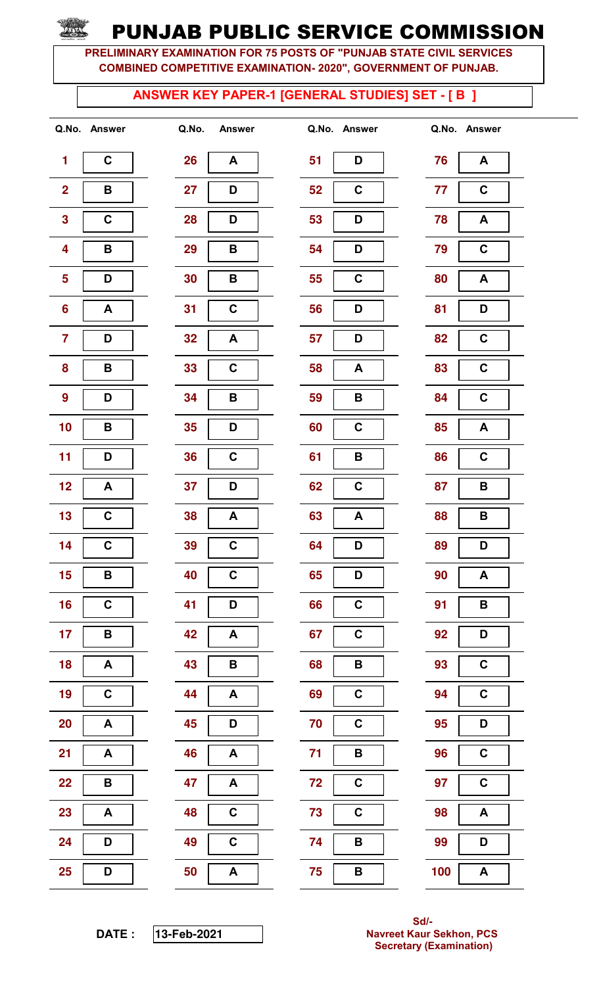PRELIMINARY EXAMINATION FOR 75 POSTS OF "PUNJAB STATE CIVIL SERVICES COMBINED COMPETITIVE EXAMINATION- 2020", GOVERNMENT OF PUNJAB.

#### ANSWER KEY PAPER-1 [GENERAL STUDIES] SET - [ B ]

| 1                       | Ć                       |
|-------------------------|-------------------------|
| $\overline{\mathbf{c}}$ | B                       |
| 3                       | C                       |
| 4                       | В                       |
| 5                       | D                       |
| 6                       | A                       |
| 7                       | D                       |
| 8                       | B                       |
| 9                       | D                       |
| 10                      | В                       |
| 11                      | D                       |
| 12                      | A                       |
| 13                      | C                       |
| 14                      | $\overline{\mathsf{c}}$ |
| 15                      | B                       |
| 16                      | C                       |
| 17                      | В                       |
| 18                      | A                       |
| 19                      | $\overline{\mathsf{c}}$ |
| 20                      | A                       |
| 21                      | A                       |
| 22                      | B                       |
| 23                      | A                       |
| 24                      | D                       |
| 25                      | D                       |

| Q.No. | <b>Answer</b>           |  |  |  |  |
|-------|-------------------------|--|--|--|--|
| 26    | A                       |  |  |  |  |
| 27    | D                       |  |  |  |  |
| 28    | D                       |  |  |  |  |
| 29    | В                       |  |  |  |  |
| 30    | В                       |  |  |  |  |
| 31    | C                       |  |  |  |  |
| 32    | A                       |  |  |  |  |
| 33    | C                       |  |  |  |  |
| 34    | B                       |  |  |  |  |
| 35    | D                       |  |  |  |  |
| 36    | $\overline{\mathbf{c}}$ |  |  |  |  |
| 37    | D                       |  |  |  |  |
| 38    | A                       |  |  |  |  |
|       |                         |  |  |  |  |
| 39    | C                       |  |  |  |  |
| 40    | C                       |  |  |  |  |
| 41    | D                       |  |  |  |  |
| 42    | A                       |  |  |  |  |
| 43    | в                       |  |  |  |  |
| 44    | A                       |  |  |  |  |
| 45    | D                       |  |  |  |  |
| 46    | A                       |  |  |  |  |
| 47    | A                       |  |  |  |  |
| 48    | C                       |  |  |  |  |
| 49    | C                       |  |  |  |  |

|                         | Q.No. Answer       | Q.No. | <b>Answer</b>             |    | Q.No. Answer     |     | Q.No. Answer              |
|-------------------------|--------------------|-------|---------------------------|----|------------------|-----|---------------------------|
| 1                       | $\mathbf C$        | 26    | A                         | 51 | D                | 76  | $\boldsymbol{A}$          |
| $\overline{\mathbf{2}}$ | В                  | 27    | D                         | 52 | C                | 77  | $\mathbf C$               |
| $\mathbf{3}$            | $\mathbf C$        | 28    | D                         | 53 | D                | 78  | A                         |
| $\overline{\mathbf{4}}$ | B                  | 29    | B                         | 54 | D                | 79  | $\mathbf C$               |
| $\overline{\mathbf{5}}$ | D                  | 30    | В                         | 55 | $\mathbf C$      | 80  | A                         |
| $6\phantom{a}$          | A                  | 31    | C                         | 56 | D                | 81  | D                         |
| $\overline{\mathbf{7}}$ | D                  | 32    | A                         | 57 | D                | 82  | $\mathbf C$               |
| 8                       | B                  | 33    | C                         | 58 | $\blacktriangle$ | 83  | $\mathbf C$               |
| $\boldsymbol{9}$        | D                  | 34    | В                         | 59 | B                | 84  | $\mathbf C$               |
| 10                      | B                  | 35    | D                         | 60 | $\mathbf C$      | 85  | $\boldsymbol{A}$          |
| 11                      | D                  | 36    | $\mathbf C$               | 61 | B                | 86  | $\mathbf C$               |
| 12                      | A                  | 37    | D                         | 62 | $\mathbf C$      | 87  | В                         |
| 13                      | $\mathbf c$        | 38    | A                         | 63 | A                | 88  | B                         |
| 14                      | $\mathbf C$        | 39    | $\mathbf C$               | 64 | D                | 89  | D                         |
| 15                      | $\pmb{\mathsf{B}}$ | 40    | $\mathbf C$               | 65 | D                | 90  | $\boldsymbol{\mathsf{A}}$ |
| 16                      | $\mathbf C$        | 41    | D                         | 66 | $\mathbf C$      | 91  | $\, {\bf B} \,$           |
| 17                      | B                  | 42    | $\boldsymbol{\mathsf{A}}$ | 67 | $\mathbf C$      | 92  | D                         |
| 18                      | A                  | 43    | B                         | 68 | B                | 93  | $\mathbf C$               |
| 19                      | $\mathbf C$        | 44    | $\boldsymbol{\mathsf{A}}$ | 69 | $\mathbf C$      | 94  | $\mathbf C$               |
| 20                      | A                  | 45    | D                         | 70 | $\mathbf C$      | 95  | D                         |
| 21                      | A                  | 46    | $\boldsymbol{A}$          | 71 | B                | 96  | $\mathbf C$               |
| 22                      | B                  | 47    | A                         | 72 | $\mathbf C$      | 97  | $\mathbf C$               |
| 23                      | A                  | 48    | $\mathbf C$               | 73 | $\mathbf C$      | 98  | $\blacktriangle$          |
| 24                      | D                  | 49    | $\mathbf C$               | 74 | B                | 99  | D                         |
| 25                      | D                  | 50    | $\boldsymbol{\mathsf{A}}$ | 75 | $\, {\bf B}$     | 100 | $\boldsymbol{\mathsf{A}}$ |

| 76  | A                       |
|-----|-------------------------|
| 77  | C                       |
| 78  | A                       |
| 79  | C                       |
|     |                         |
| 80  | A                       |
| 81  | D                       |
| 82  | C                       |
| 83  | C                       |
| 84  | C                       |
| 85  | A                       |
| 86  | C                       |
| 87  | В                       |
| 88  | В                       |
| 89  | D                       |
| ۹N  | l<br>Δ                  |
| 91  | B                       |
| 92  | D                       |
| 93  | C                       |
| 94  | C                       |
| 95  | D                       |
| 96  | $\overline{\mathbf{C}}$ |
| 97  | $\overline{\mathbf{C}}$ |
| 98  | A                       |
| 99  | D                       |
| 100 | A                       |

DATE : **13-**Feb**-2021**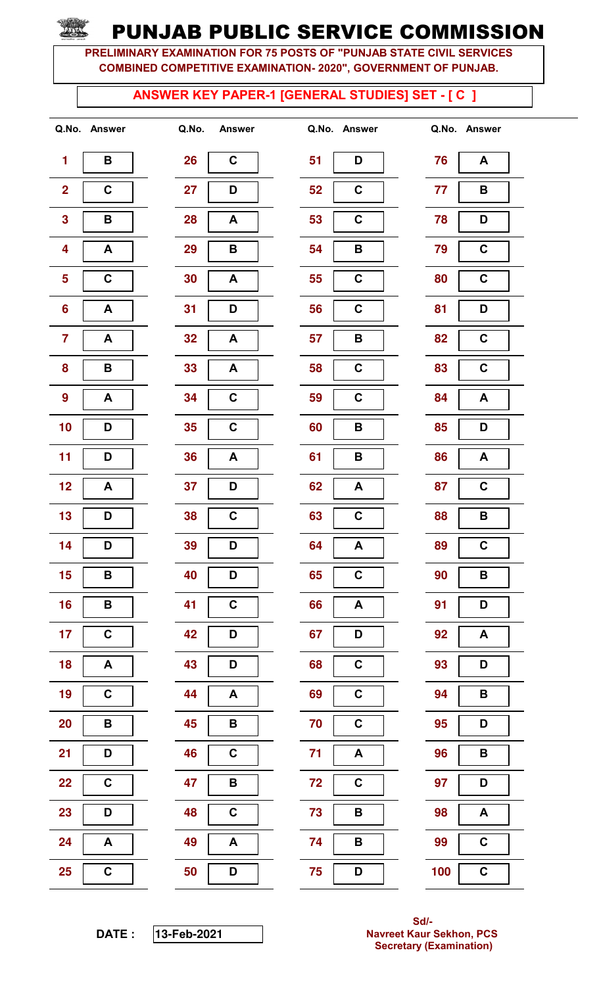PRELIMINARY EXAMINATION FOR 75 POSTS OF "PUNJAB STATE CIVIL SERVICES COMBINED COMPETITIVE EXAMINATION- 2020", GOVERNMENT OF PUNJAB.

#### ANSWER KEY PAPER-1 [GENERAL STUDIES] SET - [ C ]

| 1              | B                       |
|----------------|-------------------------|
| $\overline{2}$ | C                       |
| 3              | B                       |
| 4              | A                       |
| 5              | C                       |
| 6              | A                       |
| 7              | A                       |
| 8              | В                       |
| 9              | A                       |
| 10             | D                       |
| 11             | D                       |
| 12             | A                       |
| 13             | D                       |
| 14             | D                       |
| 15             | B                       |
| 16             | B                       |
| 17             | C                       |
| 18             | A                       |
| 19             | $\overline{\mathsf{c}}$ |
| 20             | В                       |
| 21             | D                       |
| 22             | C                       |
| 23             | D                       |
| 24             | A                       |
| 25             | C                       |

| Q.No. | <b>Answer</b>           |  |  |  |
|-------|-------------------------|--|--|--|
| 26    | C                       |  |  |  |
| 27    | D                       |  |  |  |
| 28    | Α                       |  |  |  |
| 29    | B                       |  |  |  |
| 30    | A                       |  |  |  |
| 31    | D                       |  |  |  |
| 32    | A                       |  |  |  |
| 33    | A                       |  |  |  |
| 34    | $\overline{\mathbf{c}}$ |  |  |  |
| 35    | C                       |  |  |  |
| 36    | A                       |  |  |  |
| 37    | D                       |  |  |  |
| 38    | C                       |  |  |  |
| 39    | D                       |  |  |  |
| 40    | D                       |  |  |  |
| 41    | C                       |  |  |  |
| 42    | D                       |  |  |  |
| 43    | D                       |  |  |  |
| 44    | Α                       |  |  |  |
| 45    | B                       |  |  |  |
| 46    | C                       |  |  |  |
| 47    | В                       |  |  |  |
| 48    | C                       |  |  |  |
| 49    | A                       |  |  |  |
| 50    | D                       |  |  |  |

|                         | Q.No. Answer | Q.No.<br><b>Answer</b> | Q.No. Answer           | Q.No. | <b>Answer</b>             |
|-------------------------|--------------|------------------------|------------------------|-------|---------------------------|
| 1                       | B            | 26<br>$\mathbf C$      | 51<br>D                | 76    | $\boldsymbol{A}$          |
| $\overline{\mathbf{2}}$ | $\mathbf C$  | 27<br>D                | 52<br>$\mathbf C$      | 77    | $\, {\bf B}$              |
| $\mathbf{3}$            | B            | 28<br>A                | $\mathbf C$<br>53      | 78    | D                         |
| $\overline{\mathbf{4}}$ | A            | 29<br>B                | 54<br>B                | 79    | $\mathbf C$               |
| 5                       | $\mathbf C$  | 30<br>A                | $\mathbf C$<br>55      | 80    | $\mathbf C$               |
| 6                       | A            | 31<br>D                | $\mathbf C$<br>56      | 81    | D                         |
| $\overline{7}$          | A            | 32<br>A                | 57<br>B                | 82    | $\mathbf C$               |
| 8                       | $\, {\bf B}$ | 33<br>A                | $\mathbf C$<br>58      | 83    | $\mathbf C$               |
| $\boldsymbol{9}$        | A            | $\mathbf C$<br>34      | $\mathbf C$<br>59      | 84    | $\boldsymbol{\mathsf{A}}$ |
| 10                      | D            | $\mathbf C$<br>35      | B<br>60                | 85    | D                         |
| 11                      | D            | 36<br>A                | 61<br>B                | 86    | $\boldsymbol{\mathsf{A}}$ |
| 12                      | A            | 37<br>D                | 62<br>$\boldsymbol{A}$ | 87    | $\mathbf C$               |
| 13                      | D            | C<br>38                | $\mathbf C$<br>63      | 88    | В                         |
| 14                      | D            | D<br>39                | 64<br>$\boldsymbol{A}$ | 89    | $\mathbf C$               |
| 15                      | $\, {\bf B}$ | 40<br>D                | $\mathbf C$<br>65      | 90    | $\mathbf B$               |
| 16                      | B            | $\mathbf C$<br>41      | 66<br>$\mathbf{A}$     | 91    | D                         |
| 17                      | $\mathbf C$  | D<br>42                | 67<br>D                | 92    | $\pmb{\mathsf{A}}$        |
| 18                      | A            | 43<br>D                | 68<br>$\mathbf C$      | 93    | D                         |
| 19                      | $\mathbf C$  | A<br>44                | $\mathbf C$<br>69      | 94    | $\, {\bf B} \,$           |
| 20                      | B            | B<br>45                | $\mathbf C$<br>70      | 95    | D                         |
| 21                      | D            | $\mathbf C$<br>46      | 71<br>$\blacktriangle$ | 96    | B                         |
| 22                      | $\mathbf C$  | 47<br>B                | 72<br>$\mathbf C$      | 97    | D                         |
| 23                      | D            | 48<br>$\mathbf C$      | 73<br>B                | 98    | A                         |
| 24                      | A            | 49<br>A                | 74<br>B                | 99    | $\mathbf C$               |
| 25                      | $\mathbf C$  | 50<br>D                | 75<br>D                | 100   | $\mathbf C$               |

| 76  | A                       |
|-----|-------------------------|
| 77  | B                       |
| 78  | D                       |
| 79  | C                       |
| 80  | C                       |
| 81  | D                       |
| 82  | C                       |
| 83  | C                       |
| 84  | A                       |
| 85  | D                       |
| 86  | A                       |
| 87  | C                       |
| 88  | B                       |
| 89  | $\overline{\mathbf{c}}$ |
| 90  | I<br>B                  |
| 91  | D                       |
| 92  | A                       |
| 93  | D                       |
| 94  | В                       |
| 95  | D                       |
| 96  | B                       |
| 97  | D                       |
| 98  | A                       |
| 99  | C                       |
| 100 | C                       |

DATE : **13-**Feb**-2021**